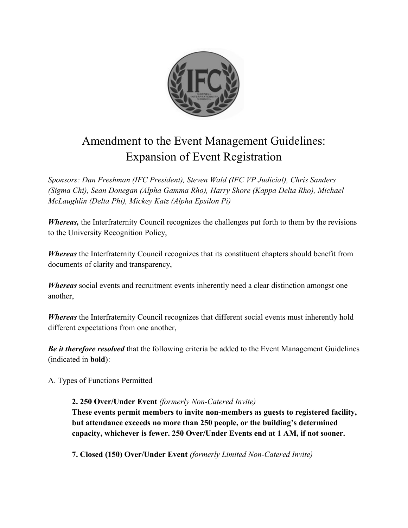

## Amendment to the Event Management Guidelines: Expansion of Event Registration

*Sponsors: Dan Freshman (IFC President), Steven Wald (IFC VP Judicial), Chris Sanders (Sigma Chi), Sean Donegan (Alpha Gamma Rho), Harry Shore (Kappa Delta Rho), Michael McLaughlin (Delta Phi), Mickey Katz (Alpha Epsilon Pi)*

*Whereas,* the Interfraternity Council recognizes the challenges put forth to them by the revisions to the University Recognition Policy,

*Whereas* the Interfraternity Council recognizes that its constituent chapters should benefit from documents of clarity and transparency,

*Whereas* social events and recruitment events inherently need a clear distinction amongst one another,

*Whereas* the Interfraternity Council recognizes that different social events must inherently hold different expectations from one another,

*Be it therefore resolved* that the following criteria be added to the Event Management Guidelines (indicated in **bold**):

A. Types of Functions Permitted

## **2. 250 Over/Under Event** *(formerly Non-Catered Invite)*

**These events permit members to invite non-members as guests to registered facility, but attendance exceeds no more than 250 people, or the building's determined capacity, whichever is fewer. 250 Over/Under Events end at 1 AM, if not sooner.**

**7. Closed (150) Over/Under Event** *(formerly Limited Non-Catered Invite)*